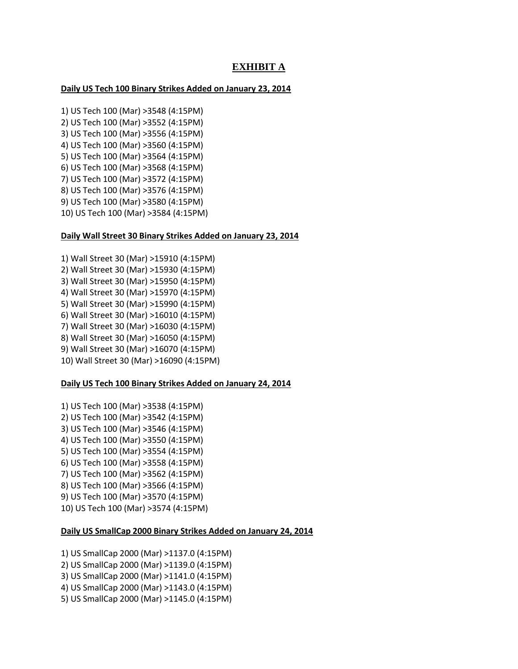# **EXHIBIT A**

## **Daily US Tech 100 Binary Strikes Added on January 23, 2014**

1) US Tech 100 (Mar) >3548 (4:15PM) 2) US Tech 100 (Mar) >3552 (4:15PM) 3) US Tech 100 (Mar) >3556 (4:15PM) 4) US Tech 100 (Mar) >3560 (4:15PM) 5) US Tech 100 (Mar) >3564 (4:15PM) 6) US Tech 100 (Mar) >3568 (4:15PM) 7) US Tech 100 (Mar) >3572 (4:15PM) 8) US Tech 100 (Mar) >3576 (4:15PM) 9) US Tech 100 (Mar) >3580 (4:15PM) 10) US Tech 100 (Mar) >3584 (4:15PM)

### **Daily Wall Street 30 Binary Strikes Added on January 23, 2014**

1) Wall Street 30 (Mar) >15910 (4:15PM) 2) Wall Street 30 (Mar) >15930 (4:15PM) 3) Wall Street 30 (Mar) >15950 (4:15PM) 4) Wall Street 30 (Mar) >15970 (4:15PM) 5) Wall Street 30 (Mar) >15990 (4:15PM) 6) Wall Street 30 (Mar) >16010 (4:15PM) 7) Wall Street 30 (Mar) >16030 (4:15PM) 8) Wall Street 30 (Mar) >16050 (4:15PM) 9) Wall Street 30 (Mar) >16070 (4:15PM) 10) Wall Street 30 (Mar) >16090 (4:15PM)

### **Daily US Tech 100 Binary Strikes Added on January 24, 2014**

1) US Tech 100 (Mar) >3538 (4:15PM) 2) US Tech 100 (Mar) >3542 (4:15PM) 3) US Tech 100 (Mar) >3546 (4:15PM) 4) US Tech 100 (Mar) >3550 (4:15PM) 5) US Tech 100 (Mar) >3554 (4:15PM) 6) US Tech 100 (Mar) >3558 (4:15PM) 7) US Tech 100 (Mar) >3562 (4:15PM) 8) US Tech 100 (Mar) >3566 (4:15PM) 9) US Tech 100 (Mar) >3570 (4:15PM) 10) US Tech 100 (Mar) >3574 (4:15PM)

# **Daily US SmallCap 2000 Binary Strikes Added on January 24, 2014**

1) US SmallCap 2000 (Mar) >1137.0 (4:15PM) 2) US SmallCap 2000 (Mar) >1139.0 (4:15PM) 3) US SmallCap 2000 (Mar) >1141.0 (4:15PM) 4) US SmallCap 2000 (Mar) >1143.0 (4:15PM) 5) US SmallCap 2000 (Mar) >1145.0 (4:15PM)